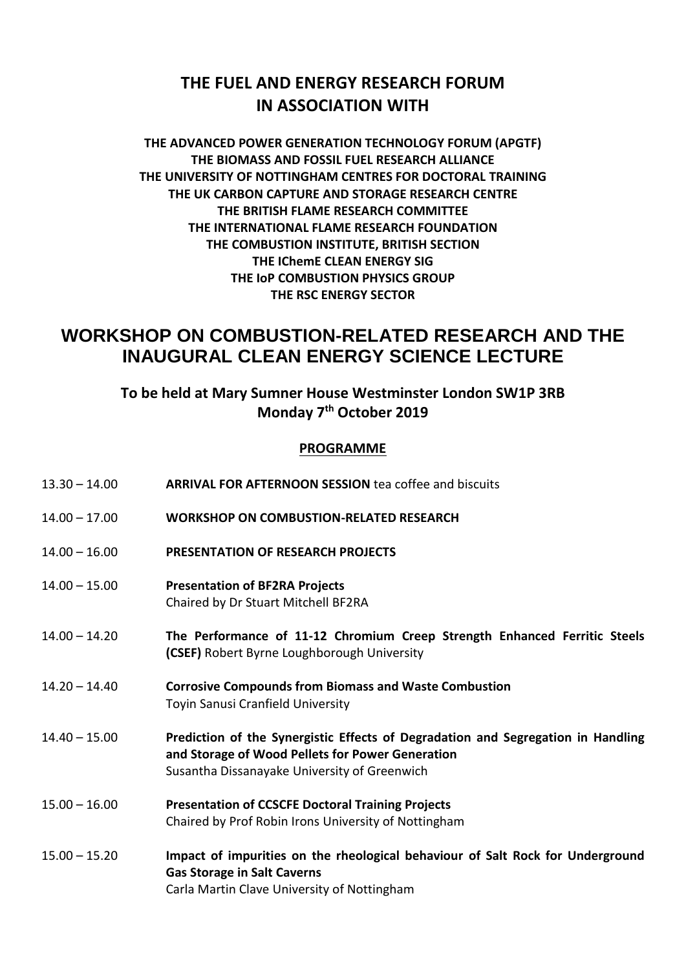## **THE FUEL AND ENERGY RESEARCH FORUM IN ASSOCIATION WITH**

## **THE ADVANCED POWER GENERATION TECHNOLOGY FORUM (APGTF) THE BIOMASS AND FOSSIL FUEL RESEARCH ALLIANCE THE UNIVERSITY OF NOTTINGHAM CENTRES FOR DOCTORAL TRAINING THE UK CARBON CAPTURE AND STORAGE RESEARCH CENTRE THE BRITISH FLAME RESEARCH COMMITTEE THE INTERNATIONAL FLAME RESEARCH FOUNDATION THE COMBUSTION INSTITUTE, BRITISH SECTION THE IChemE CLEAN ENERGY SIG THE IoP COMBUSTION PHYSICS GROUP THE RSC ENERGY SECTOR**

# **WORKSHOP ON COMBUSTION-RELATED RESEARCH AND THE INAUGURAL CLEAN ENERGY SCIENCE LECTURE**

## **To be held at Mary Sumner House Westminster London SW1P 3RB Monday 7th October 2019**

## **PROGRAMME**

| $13.30 - 14.00$ | <b>ARRIVAL FOR AFTERNOON SESSION tea coffee and biscuits</b>                                                                                                                         |
|-----------------|--------------------------------------------------------------------------------------------------------------------------------------------------------------------------------------|
| $14.00 - 17.00$ | <b>WORKSHOP ON COMBUSTION-RELATED RESEARCH</b>                                                                                                                                       |
| $14.00 - 16.00$ | <b>PRESENTATION OF RESEARCH PROJECTS</b>                                                                                                                                             |
| $14.00 - 15.00$ | <b>Presentation of BF2RA Projects</b><br>Chaired by Dr Stuart Mitchell BF2RA                                                                                                         |
| $14.00 - 14.20$ | The Performance of 11-12 Chromium Creep Strength Enhanced Ferritic Steels<br>(CSEF) Robert Byrne Loughborough University                                                             |
| $14.20 - 14.40$ | <b>Corrosive Compounds from Biomass and Waste Combustion</b><br>Toyin Sanusi Cranfield University                                                                                    |
| $14.40 - 15.00$ | Prediction of the Synergistic Effects of Degradation and Segregation in Handling<br>and Storage of Wood Pellets for Power Generation<br>Susantha Dissanayake University of Greenwich |
| $15.00 - 16.00$ | <b>Presentation of CCSCFE Doctoral Training Projects</b><br>Chaired by Prof Robin Irons University of Nottingham                                                                     |
| $15.00 - 15.20$ | Impact of impurities on the rheological behaviour of Salt Rock for Underground<br><b>Gas Storage in Salt Caverns</b><br>Carla Martin Clave University of Nottingham                  |